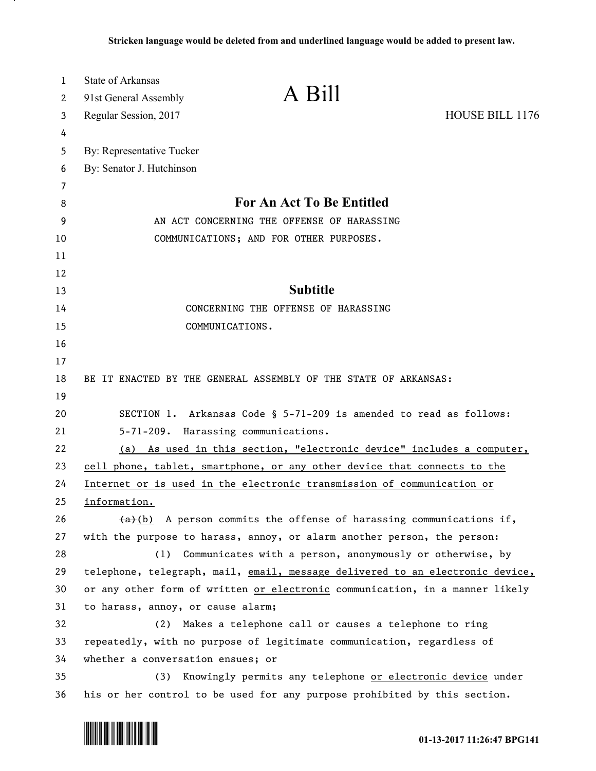| 1<br>2 | <b>State of Arkansas</b><br>91st General Assembly                             | A Bill                                                                     |
|--------|-------------------------------------------------------------------------------|----------------------------------------------------------------------------|
| 3      | Regular Session, 2017                                                         | HOUSE BILL 1176                                                            |
| 4      |                                                                               |                                                                            |
| 5      | By: Representative Tucker                                                     |                                                                            |
| 6      | By: Senator J. Hutchinson                                                     |                                                                            |
| 7      |                                                                               |                                                                            |
| 8      |                                                                               | For An Act To Be Entitled                                                  |
| 9      | AN ACT CONCERNING THE OFFENSE OF HARASSING                                    |                                                                            |
| 10     | COMMUNICATIONS; AND FOR OTHER PURPOSES.                                       |                                                                            |
| 11     |                                                                               |                                                                            |
| 12     |                                                                               |                                                                            |
| 13     |                                                                               | <b>Subtitle</b>                                                            |
| 14     | CONCERNING THE OFFENSE OF HARASSING                                           |                                                                            |
| 15     | COMMUNICATIONS.                                                               |                                                                            |
| 16     |                                                                               |                                                                            |
| 17     |                                                                               |                                                                            |
| 18     | BE IT ENACTED BY THE GENERAL ASSEMBLY OF THE STATE OF ARKANSAS:               |                                                                            |
| 19     |                                                                               |                                                                            |
| 20     | SECTION 1. Arkansas Code § 5-71-209 is amended to read as follows:            |                                                                            |
| 21     | 5-71-209. Harassing communications.                                           |                                                                            |
| 22     | As used in this section, "electronic device" includes a computer,<br>(a)      |                                                                            |
| 23     | cell phone, tablet, smartphone, or any other device that connects to the      |                                                                            |
| 24     | Internet or is used in the electronic transmission of communication or        |                                                                            |
| 25     | information.                                                                  |                                                                            |
| 26     |                                                                               | $\frac{a}{b}$ A person commits the offense of harassing communications if, |
| 27     | with the purpose to harass, annoy, or alarm another person, the person:       |                                                                            |
| 28     | (1)                                                                           | Communicates with a person, anonymously or otherwise, by                   |
| 29     | telephone, telegraph, mail, email, message delivered to an electronic device, |                                                                            |
| 30     | or any other form of written or electronic communication, in a manner likely  |                                                                            |
| 31     | to harass, annoy, or cause alarm;                                             |                                                                            |
| 32     | (2)                                                                           | Makes a telephone call or causes a telephone to ring                       |
| 33     | repeatedly, with no purpose of legitimate communication, regardless of        |                                                                            |
| 34     | whether a conversation ensues; or                                             |                                                                            |
| 35     | (3)                                                                           | Knowingly permits any telephone or electronic device under                 |
| 36     | his or her control to be used for any purpose prohibited by this section.     |                                                                            |



л.